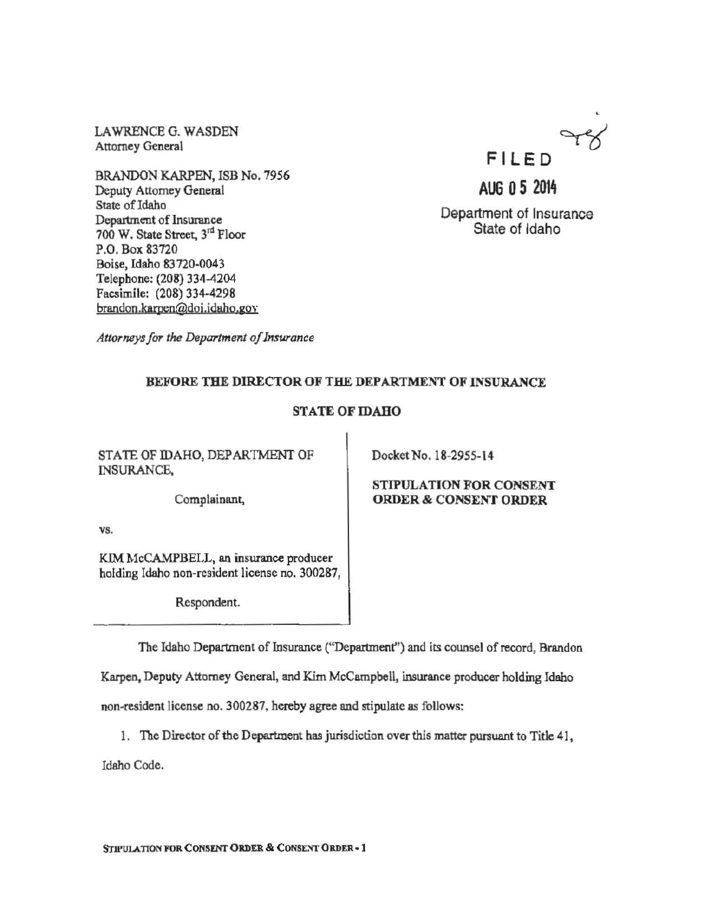LAWRENCE G. WASDEN Attorney General

BRANDON KARPEN, ISB No. 7956 Deputy Attorney General State of Idaho Department of Insurance 700 W. State Street, 3rd Floor P.O. Box 83720 Boise, Idaho 83720-0043 Telephone: (208) 334-4204 Facsimile: (208) 334-4298 braqdon.karpen@doi.idabo.gov



AUG 0 5 2014

Department of Insurance State of Idaho

*Attorneys for the Department of Jnswance* 

#### BEFORE THE DIRECTOR OF THE DEPARTMENT OF INSURANCE

# STATE OF IDAHO

STATE OF IDAHO, DEPARTMENT OF INSURANCE,

DocketNo. 18-2955-14

Complainam:,

vs.

KIM McCAMPBELL, an insurance producer holding Idaho non-resident license no. 300287,

Respondent.

#### STIPULATION FOR CONSENT ORDER & CONSENT ORDER

The Idaho Department of Insurance ("Department'') and its counsel of record, Brandon

Karpen, Deputy Attorney General, and Kim McCampbell, insurance producer holding Idaho

non-resident license no. 300287, hereby agree and stipulate as follows:

1. The Director of the Department has jurisdiction over this matter pursuant to Title 41,

Idaho Code.

STIPULATION FOR CONSENT ORDER & CONSENT ORDER - 1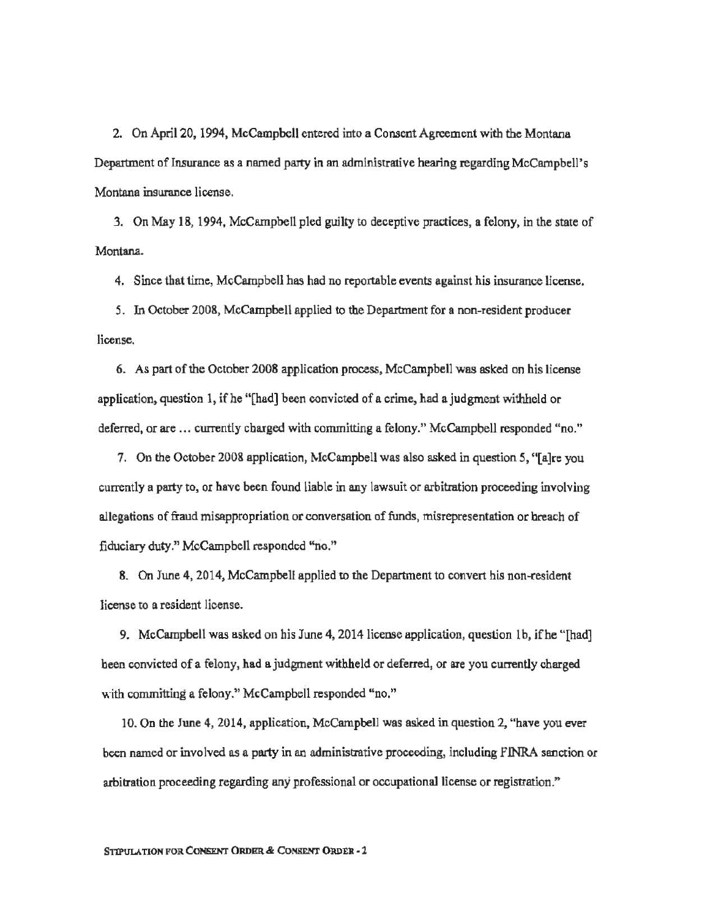2. On April 20, 1994, McCampbell entered into a Consent Agreement with the Montana Department of Insurmce as a named party in an administrative hearing regarding McCampbell's Montana insurance license.

3. On May 18, 1994, McCampbell pled guilty to deceptive practices, a felony, in the state of Montana.

4. Since that time, McCampbell has had no reportable events against his insurance license.

5. In October 2008, McCampbell applied to the Department for a non-resident producer license.

6. As part of the October 2008 application process, McCampbell was asked on his license application, question 1, if he "[had] been convicted of a crime, had a judgment withheld or deferred, or are ... currently charged with committing a felony." McCampbell responded "no."

7. On the October 2008 application, McCampbell was also asked in question 5, "[a]re you currently a party to, or have been found liable in any lawsuit or arbitration proceeding involving allegations of fraud misappropriation or conversation of funds, misrepresentation or breach of fiduciary duty." McCampbell responded "no."

8. On June 4, 2014, McCampbell applied to the Department to convert his non-resident license to a resident license.

9. McCampbell was asked on his June 4, 2014 license application, question lb, ifhe "[had] been convicted of a felony, had a judgment withheld or deferred, or are you currently charged with committing a felony." McCampbell responded "no."

10. On the June 4, 2014, application, McCampbell was asked in question 2, "have you ever been named or involved as a party in an administrative proceeding, including flNRA sanction or arbitration proceeding regarding any professional or occupational license or registration."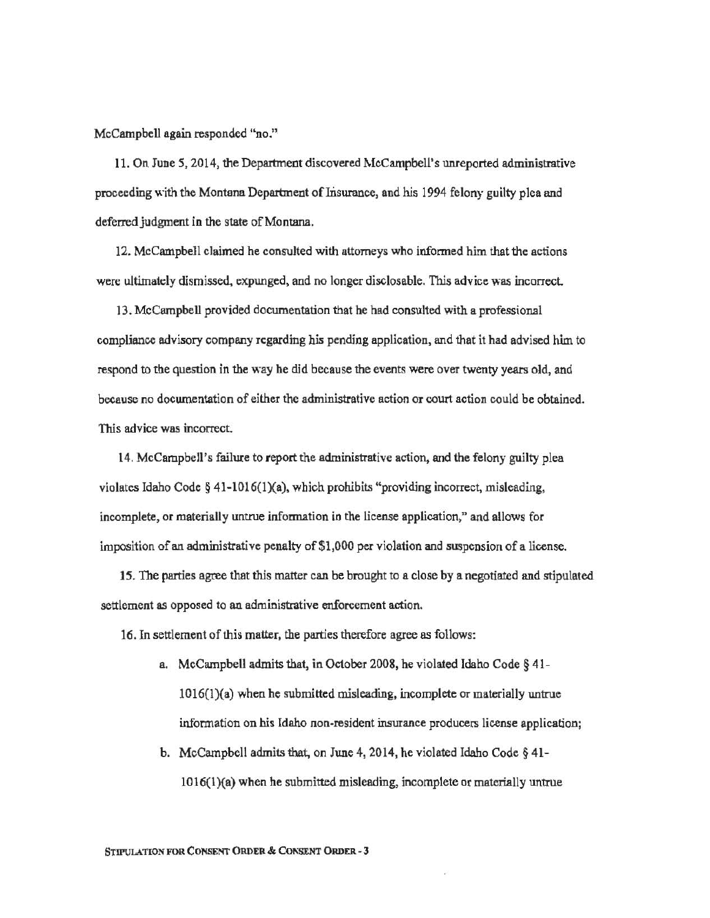McCampbell again responded "no."

11. On June *5,* 2014, the Department discovered McCampbell's unreported administrative proceeding with the Montana Department of Insurance, and his 1994 felony guilty plea and deferred judgment in the state of Montana.

12. McCampbell claimed he consulted with attorneys who informed him that the actions were ultimately dismissed. expunged, and no longer disclosable. This advice was incorrect

13. McCampbell provided documentation that he had consulted with a professional compliance advisory company regarding his pending application, and that it had advised him to respond to the question in the way he did because the events were over twenty years old, and because no docwnentation of either the administrative action or court action could be obtained. This advice was incorrect.

14. McCampbell's failure to report the administrative action. and the felony guilty plea violates Idaho Code  $\S$  41-1016(1)(a), which prohibits "providing incorrect, misleading, incomplete, or materially untrue information in the license application," and allows for imposition of an administrative penalty of\$1,000 per violation and suspension of a license.

15. The parties agree that this matter can be brought to a close by a negotiated and stipulated settlement as opposed to an administrative enforcement action.

16. In settlement of this matter, the parties therefore agree as follows:

- a. McCampbell admits that, in October 2008, he violated Idaho Code § 41- 1016(1)(a) when he submitted misleading, incomplete or materially untrue information on his Idaho non-resident insurance producers license application;
- b. McCampbell admits that, on June 4, 2014, he violated Idaho Code§ 41- 1016(l}(a) when he submitted misleading, incomplete or materially untrue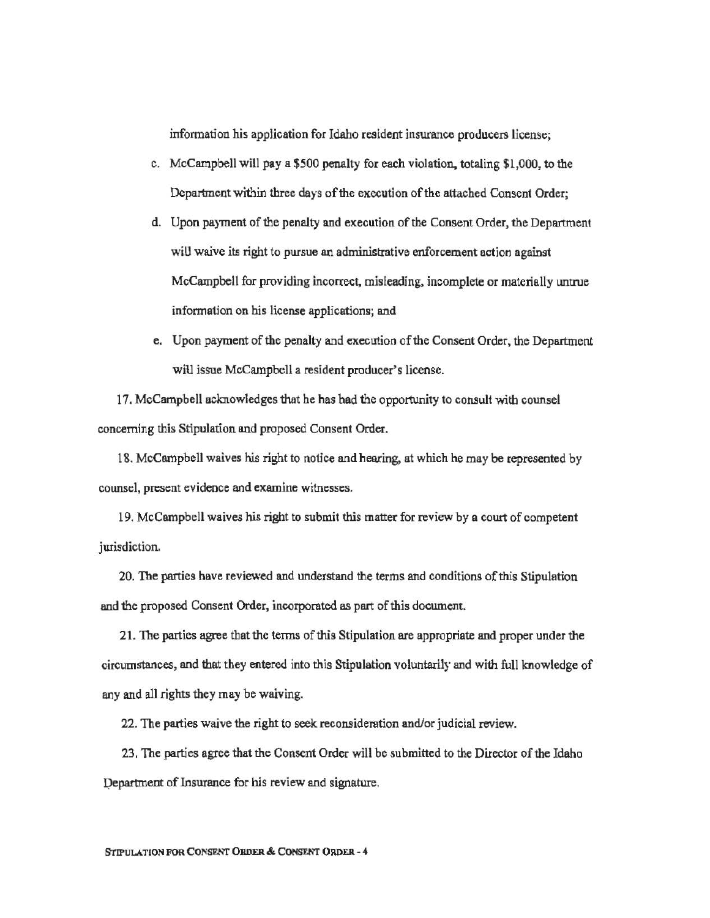infonnation his application for Idaho resident insurance producers license;

- c. McCampbell will pay a \$500 penalty for each violation, totaling \$1,000, to the Department within three days of the execution of the attached Consent Order;
- d. Upon payment of the penalty and execution of the Consent Order, the Department will waive its right to pursue an administrative enforcement action against McCampbell for providing incorrect, misleading, incomplete or materially untrue information on his license applications; and
- e. Upon payment of the penalty and execution of the Consent Order, the Department will issue McCampbell a resident producer's license.

17. McCampbell acknowledges that be has had the opportunity to consult with counsel concerning this Stipulation and proposed Consent Order.

18. McCampbell waives his right to notice and hearing, at which he may be represented by counsel, present evidence and examine witnesses.

19. McCampbell waives his right to submit this matter for review by a court of competent jurisdiction.

20. The parties have reviewed and understand the terms and conditions of this Stipulation and the proposed Consent Order, incorporated as part of this document.

21. The parties agree that the terms of this Stipulation are appropriate and proper under the circumstances, and that they entered into this Stipulation voluntarily and with full knowledge of any and all rights they may be waiving.

22. The parties waive the right to seek reconsidemtion and/or judicial review.

23. The parties agree that the Consent Order will be submitted to the Director of the Idaho pepartment of Insurance for his review and signature.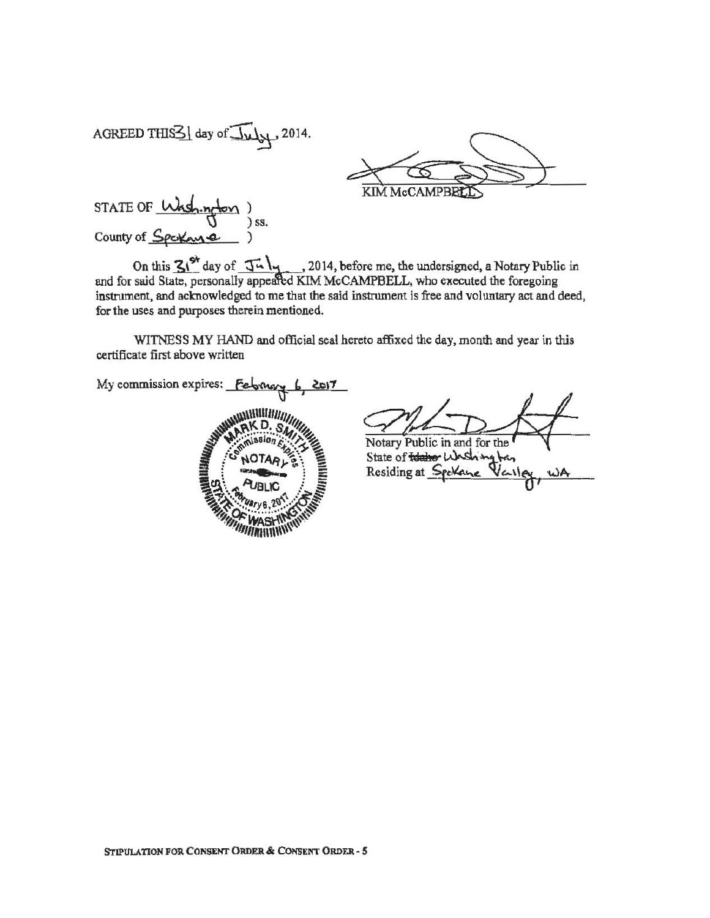AGREED THIS  $\leq$  day of  $\sqrt{\frac{1}{2}}$  2014.

KIM McCAMPBEL

STATE OF <u>Wish.ngton</u> ) ss. County of Spekane

On this  $3!^{\text{St}}$  day of  $\overline{3!}$ . 2014, before me, the undersigned, a Notary Public in and for said State, personally appeared KIM McCAMPBELL, who executed the foregoing instrument, and acknowledged to me that the said instrument is free and voluntary act and deed, for the uses and pwposes therein mentioned.

WITNESS MY HAND and official seal hereto affixed the day, month and year in thls certificate first above written

My commission expires: February 6  $2017$ **WINNING** 

Notary Public in and for the State of the hot Washington Residing at Spekane wA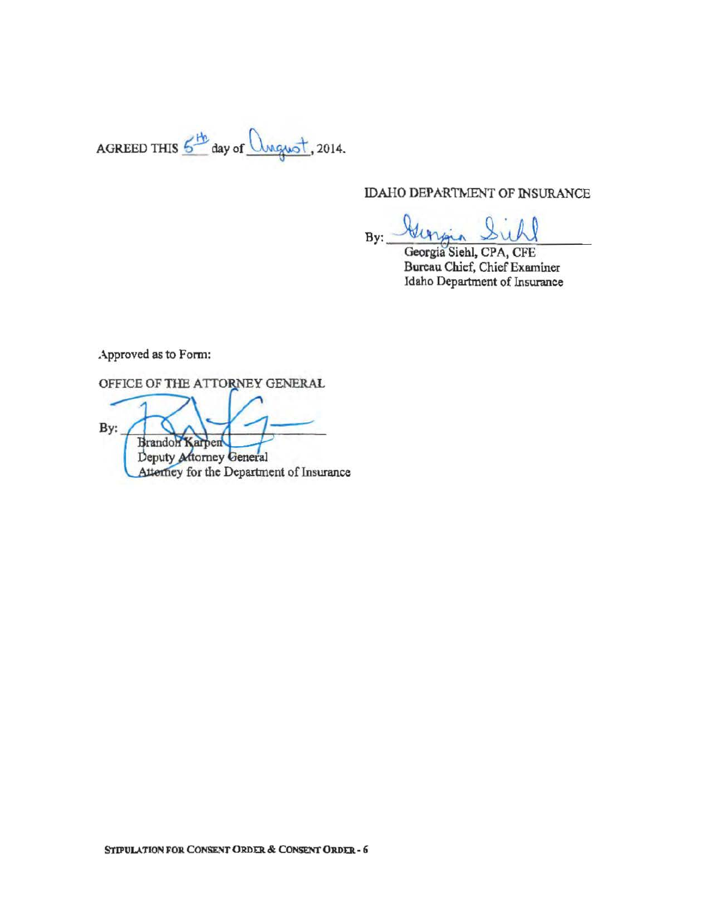AGREED TillS ~ day of . 2014.

### IDAHO DEPARTMENT OF INSURANCE

 $By:$  Beingin Sichl

Georgia Siehl, CPA, CFE Bureau Chief, Chief Examiner Idaho Department of Insurance

Approved as to Form:

OFFICE OF THE ATTORNEY GENERAL

By: Brandon Karpen Deputy Attorney General Atterney for the Department of Insurance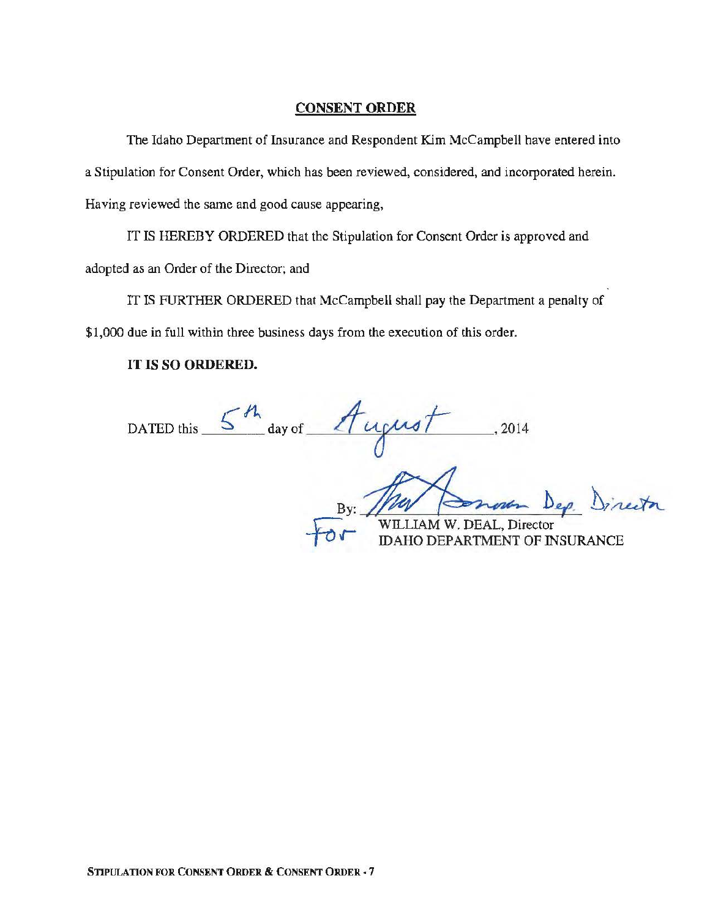### CONSENT ORDER

The Idaho Department of Insurance and Respondent Kim McCampbell have entered into a Stipulation for Consent Order, which has been reviewed, considered, and incorporated herein. Having reviewed the same and good cause appearing,

IT IS HEREBY ORDERED that the Stipulation for Consent Order is approved and adopted as an Order of the Director; and

IT IS FURTHER ORDERED that McCampbell shall pay the Department a penalty of \$1,000 due in full within three business days from the execution of this order.

# IT IS SO ORDERED.

DATED this  $\frac{5-h}{\omega}$  day of  $\frac{A}{\omega}$   $\omega$  <sup>1</sup>, 2014

By: The Compte D.<br>
WILLIAM W. DEAL, Director 26 Dep Director

IAM W. DEAL, Director<br>O DEPARTMENT OF INSURANCE